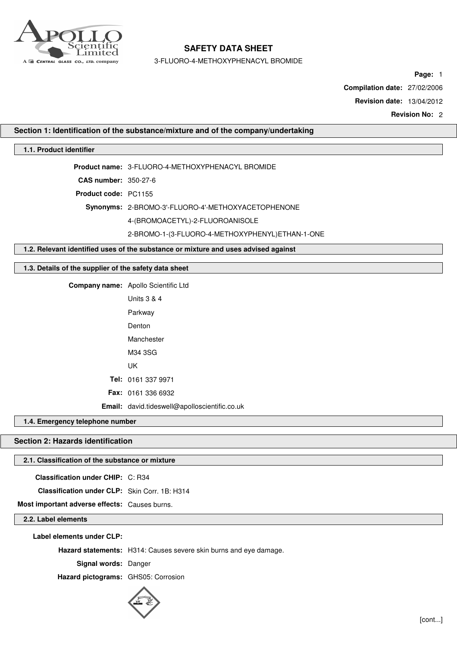

3-FLUORO-4-METHOXYPHENACYL BROMIDE

**Page:** 1

**Compilation date:** 27/02/2006

**Revision date:** 13/04/2012

**Revision No:** 2

# **Section 1: Identification of the substance/mixture and of the company/undertaking**

## **1.1. Product identifier**

**Product name:** 3-FLUORO-4-METHOXYPHENACYL BROMIDE

**CAS number:** 350-27-6

**Product code:** PC1155

**Synonyms:** 2-BROMO-3'-FLUORO-4'-METHOXYACETOPHENONE

4-(BROMOACETYL)-2-FLUOROANISOLE

#### 2-BROMO-1-(3-FLUORO-4-METHOXYPHENYL)ETHAN-1-ONE

**1.2. Relevant identified uses of the substance or mixture and uses advised against**

# **1.3. Details of the supplier of the safety data sheet**

**Company name:** Apollo Scientific Ltd Units 3 & 4 Parkway Denton Manchester M34 3SG UK **Tel:** 0161 337 9971 **Fax:** 0161 336 6932 **Email:** david.tideswell@apolloscientific.co.uk

#### **1.4. Emergency telephone number**

# **Section 2: Hazards identification**

# **2.1. Classification of the substance or mixture**

**Classification under CHIP:** C: R34

**Classification under CLP:** Skin Corr. 1B: H314

**Most important adverse effects:** Causes burns.

## **2.2. Label elements**

**Label elements under CLP:**

**Hazard statements:** H314: Causes severe skin burns and eye damage.

**Signal words:** Danger

**Hazard pictograms:** GHS05: Corrosion

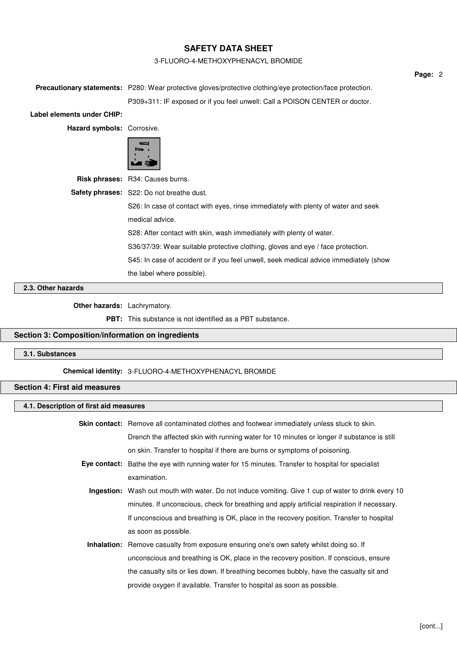### 3-FLUORO-4-METHOXYPHENACYL BROMIDE

|                            |                                                                                                                   | Page: 2 |
|----------------------------|-------------------------------------------------------------------------------------------------------------------|---------|
|                            | <b>Precautionary statements:</b> P280: Wear protective gloves/protective clothing/eye protection/face protection. |         |
|                            | P309+311: IF exposed or if you feel unwell: Call a POISON CENTER or doctor.                                       |         |
| Label elements under CHIP: |                                                                                                                   |         |
| Hazard symbols: Corrosive. |                                                                                                                   |         |
|                            |                                                                                                                   |         |
|                            | Risk phrases: R34: Causes burns.                                                                                  |         |
|                            | <b>Safety phrases:</b> S22: Do not breathe dust.                                                                  |         |
|                            | S26: In case of contact with eyes, rinse immediately with plenty of water and seek                                |         |
|                            | medical advice.                                                                                                   |         |
|                            | S28: After contact with skin, wash immediately with plenty of water.                                              |         |
|                            | S36/37/39: Wear suitable protective clothing, gloves and eye / face protection.                                   |         |
|                            | S45: In case of accident or if you feel unwell, seek medical advice immediately (show                             |         |
|                            | the label where possible).                                                                                        |         |

# **2.3. Other hazards**

**Other hazards:** Lachrymatory.

**PBT:** This substance is not identified as a PBT substance.

### **Section 3: Composition/information on ingredients**

### **3.1. Substances**

**Chemical identity:** 3-FLUORO-4-METHOXYPHENACYL BROMIDE

## **Section 4: First aid measures**

### **4.1. Description of first aid measures**

| Skin contact: Remove all contaminated clothes and footwear immediately unless stuck to skin. |  |
|----------------------------------------------------------------------------------------------|--|
| Drench the affected skin with running water for 10 minutes or longer if substance is still   |  |
| on skin. Transfer to hospital if there are burns or symptoms of poisoning.                   |  |
|                                                                                              |  |

- **Eye contact:** Bathe the eye with running water for 15 minutes. Transfer to hospital for specialist examination.
	- **Ingestion:** Wash out mouth with water. Do not induce vomiting. Give 1 cup of water to drink every 10 minutes. If unconscious, check for breathing and apply artificial respiration if necessary. If unconscious and breathing is OK, place in the recovery position. Transfer to hospital as soon as possible.
	- **Inhalation:** Remove casualty from exposure ensuring one's own safety whilst doing so. If unconscious and breathing is OK, place in the recovery position. If conscious, ensure the casualty sits or lies down. If breathing becomes bubbly, have the casualty sit and provide oxygen if available. Transfer to hospital as soon as possible.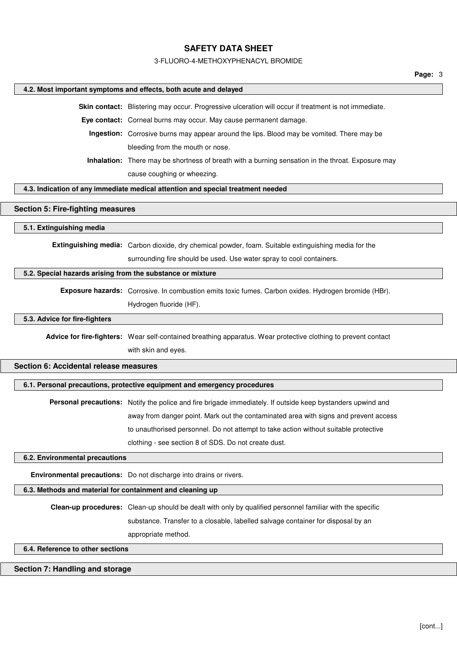#### 3-FLUORO-4-METHOXYPHENACYL BROMIDE

#### **4.2. Most important symptoms and effects, both acute and delayed**

**Skin contact:** Blistering may occur. Progressive ulceration will occur if treatment is not immediate.

**Eye contact:** Corneal burns may occur. May cause permanent damage.

**Ingestion:** Corrosive burns may appear around the lips. Blood may be vomited. There may be bleeding from the mouth or nose.

**Inhalation:** There may be shortness of breath with a burning sensation in the throat. Exposure may cause coughing or wheezing.

### **4.3. Indication of any immediate medical attention and special treatment needed**

### **Section 5: Fire-fighting measures**

#### **5.1. Extinguishing media**

**Extinguishing media:** Carbon dioxide, dry chemical powder, foam. Suitable extinguishing media for the surrounding fire should be used. Use water spray to cool containers.

### **5.2. Special hazards arising from the substance or mixture**

**Exposure hazards:** Corrosive. In combustion emits toxic fumes. Carbon oxides. Hydrogen bromide (HBr). Hydrogen fluoride (HF).

## **5.3. Advice for fire-fighters**

**Advice for fire-fighters:** Wear self-contained breathing apparatus. Wear protective clothing to prevent contact with skin and eyes.

### **Section 6: Accidental release measures**

#### **6.1. Personal precautions, protective equipment and emergency procedures**

**Personal precautions:** Notify the police and fire brigade immediately. If outside keep bystanders upwind and away from danger point. Mark out the contaminated area with signs and prevent access to unauthorised personnel. Do not attempt to take action without suitable protective clothing - see section 8 of SDS. Do not create dust.

### **6.2. Environmental precautions**

**Environmental precautions:** Do not discharge into drains or rivers.

### **6.3. Methods and material for containment and cleaning up**

**Clean-up procedures:** Clean-up should be dealt with only by qualified personnel familiar with the specific substance. Transfer to a closable, labelled salvage container for disposal by an appropriate method.

## **6.4. Reference to other sections**

### **Section 7: Handling and storage**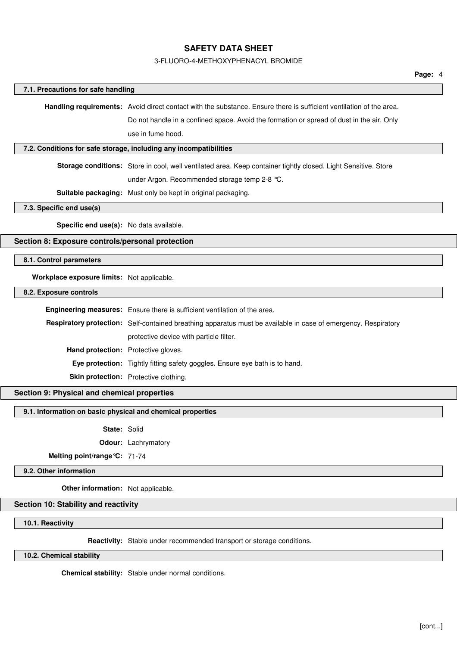# 3-FLUORO-4-METHOXYPHENACYL BROMIDE

| 7.1. Precautions for safe handling                         |                                                                                                                     |  |
|------------------------------------------------------------|---------------------------------------------------------------------------------------------------------------------|--|
|                                                            | Handling requirements: Avoid direct contact with the substance. Ensure there is sufficient ventilation of the area. |  |
|                                                            | Do not handle in a confined space. Avoid the formation or spread of dust in the air. Only                           |  |
|                                                            | use in fume hood.                                                                                                   |  |
|                                                            | 7.2. Conditions for safe storage, including any incompatibilities                                                   |  |
|                                                            | Storage conditions: Store in cool, well ventilated area. Keep container tightly closed. Light Sensitive. Store      |  |
|                                                            | under Argon. Recommended storage temp 2-8 °C.                                                                       |  |
|                                                            | Suitable packaging: Must only be kept in original packaging.                                                        |  |
| 7.3. Specific end use(s)                                   |                                                                                                                     |  |
| Specific end use(s): No data available.                    |                                                                                                                     |  |
|                                                            |                                                                                                                     |  |
| Section 8: Exposure controls/personal protection           |                                                                                                                     |  |
| 8.1. Control parameters                                    |                                                                                                                     |  |
| Workplace exposure limits: Not applicable.                 |                                                                                                                     |  |
| 8.2. Exposure controls                                     |                                                                                                                     |  |
|                                                            | <b>Engineering measures:</b> Ensure there is sufficient ventilation of the area.                                    |  |
|                                                            | Respiratory protection: Self-contained breathing apparatus must be available in case of emergency. Respiratory      |  |
|                                                            | protective device with particle filter.                                                                             |  |
|                                                            | Hand protection: Protective gloves.                                                                                 |  |
|                                                            | Eye protection: Tightly fitting safety goggles. Ensure eye bath is to hand.                                         |  |
|                                                            | Skin protection: Protective clothing.                                                                               |  |
| Section 9: Physical and chemical properties                |                                                                                                                     |  |
| 9.1. Information on basic physical and chemical properties |                                                                                                                     |  |
|                                                            |                                                                                                                     |  |
| State: Solid                                               | Odour: Lachrymatory                                                                                                 |  |
| Melting point/range °C: 71-74                              |                                                                                                                     |  |
| 9.2. Other information                                     |                                                                                                                     |  |
|                                                            |                                                                                                                     |  |
| Other information: Not applicable.                         |                                                                                                                     |  |
| Section 10: Stability and reactivity                       |                                                                                                                     |  |
| 10.1. Reactivity                                           |                                                                                                                     |  |
|                                                            | Reactivity: Stable under recommended transport or storage conditions.                                               |  |
| 10.2. Chemical stability                                   |                                                                                                                     |  |
|                                                            |                                                                                                                     |  |

**Chemical stability:** Stable under normal conditions.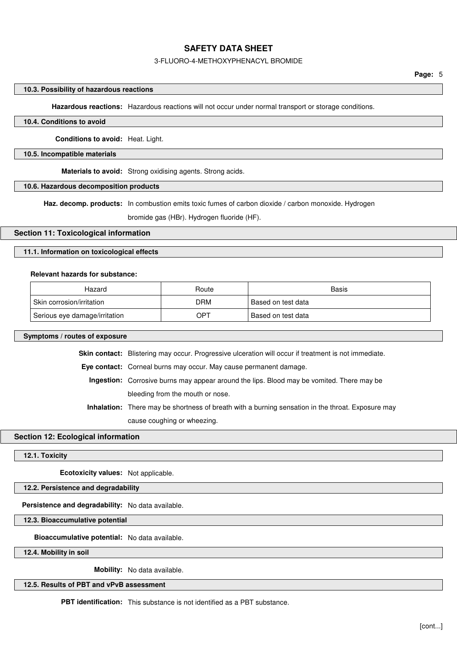### 3-FLUORO-4-METHOXYPHENACYL BROMIDE

### **10.3. Possibility of hazardous reactions**

**Hazardous reactions:** Hazardous reactions will not occur under normal transport or storage conditions.

### **10.4. Conditions to avoid**

**Conditions to avoid:** Heat. Light.

#### **10.5. Incompatible materials**

**Materials to avoid:** Strong oxidising agents. Strong acids.

## **10.6. Hazardous decomposition products**

**Haz. decomp. products:** In combustion emits toxic fumes of carbon dioxide / carbon monoxide. Hydrogen

bromide gas (HBr). Hydrogen fluoride (HF).

### **Section 11: Toxicological information**

### **11.1. Information on toxicological effects**

### **Relevant hazards for substance:**

| Hazard                        | Route      | Basis              |
|-------------------------------|------------|--------------------|
| ⊩Skin corrosion/irritation    | <b>DRM</b> | Based on test data |
| Serious eye damage/irritation | OPT        | Based on test data |

#### **Symptoms / routes of exposure**

**Skin contact:** Blistering may occur. Progressive ulceration will occur if treatment is not immediate.

**Eye contact:** Corneal burns may occur. May cause permanent damage.

**Ingestion:** Corrosive burns may appear around the lips. Blood may be vomited. There may be bleeding from the mouth or nose.

**Inhalation:** There may be shortness of breath with a burning sensation in the throat. Exposure may cause coughing or wheezing.

#### **Section 12: Ecological information**

**12.1. Toxicity**

**Ecotoxicity values:** Not applicable.

## **12.2. Persistence and degradability**

**Persistence and degradability:** No data available.

**12.3. Bioaccumulative potential**

**Bioaccumulative potential:** No data available.

**12.4. Mobility in soil**

**Mobility:** No data available.

# **12.5. Results of PBT and vPvB assessment**

**PBT identification:** This substance is not identified as a PBT substance.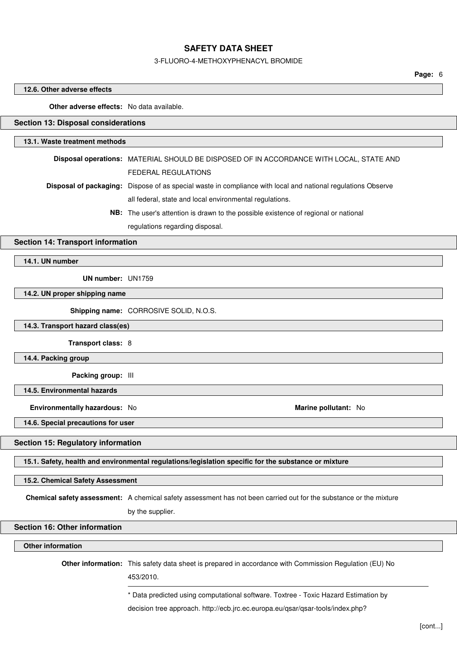### 3-FLUORO-4-METHOXYPHENACYL BROMIDE

**Page:** 6

### **12.6. Other adverse effects**

## **Other adverse effects:** No data available.

# **Section 13: Disposal considerations**

### **13.1. Waste treatment methods**

| Disposal operations: MATERIAL SHOULD BE DISPOSED OF IN ACCORDANCE WITH LOCAL, STATE AND                             |
|---------------------------------------------------------------------------------------------------------------------|
| FEDERAL REGULATIONS                                                                                                 |
| <b>Disposal of packaging:</b> Dispose of as special waste in compliance with local and national regulations Observe |
| all federal, state and local environmental regulations.                                                             |
| <b>NB:</b> The user's attention is drawn to the possible existence of regional or national                          |
|                                                                                                                     |

regulations regarding disposal.

# **Section 14: Transport information**

**14.1. UN number**

**UN number:** UN1759

**14.2. UN proper shipping name**

**Shipping name:** CORROSIVE SOLID, N.O.S.

**14.3. Transport hazard class(es)**

**Transport class:** 8

**14.4. Packing group**

**Packing group:** III

**14.5. Environmental hazards**

**Environmentally hazardous:** No **Marine pollutant:** No

**14.6. Special precautions for user**

### **Section 15: Regulatory information**

**15.1. Safety, health and environmental regulations/legislation specific for the substance or mixture**

**15.2. Chemical Safety Assessment**

**Chemical safety assessment:** A chemical safety assessment has not been carried out for the substance or the mixture

by the supplier.

### **Section 16: Other information**

### **Other information**

**Other information:** This safety data sheet is prepared in accordance with Commission Regulation (EU) No

453/2010.

\* Data predicted using computational software. Toxtree - Toxic Hazard Estimation by

decision tree approach. http://ecb.jrc.ec.europa.eu/qsar/qsar-tools/index.php?